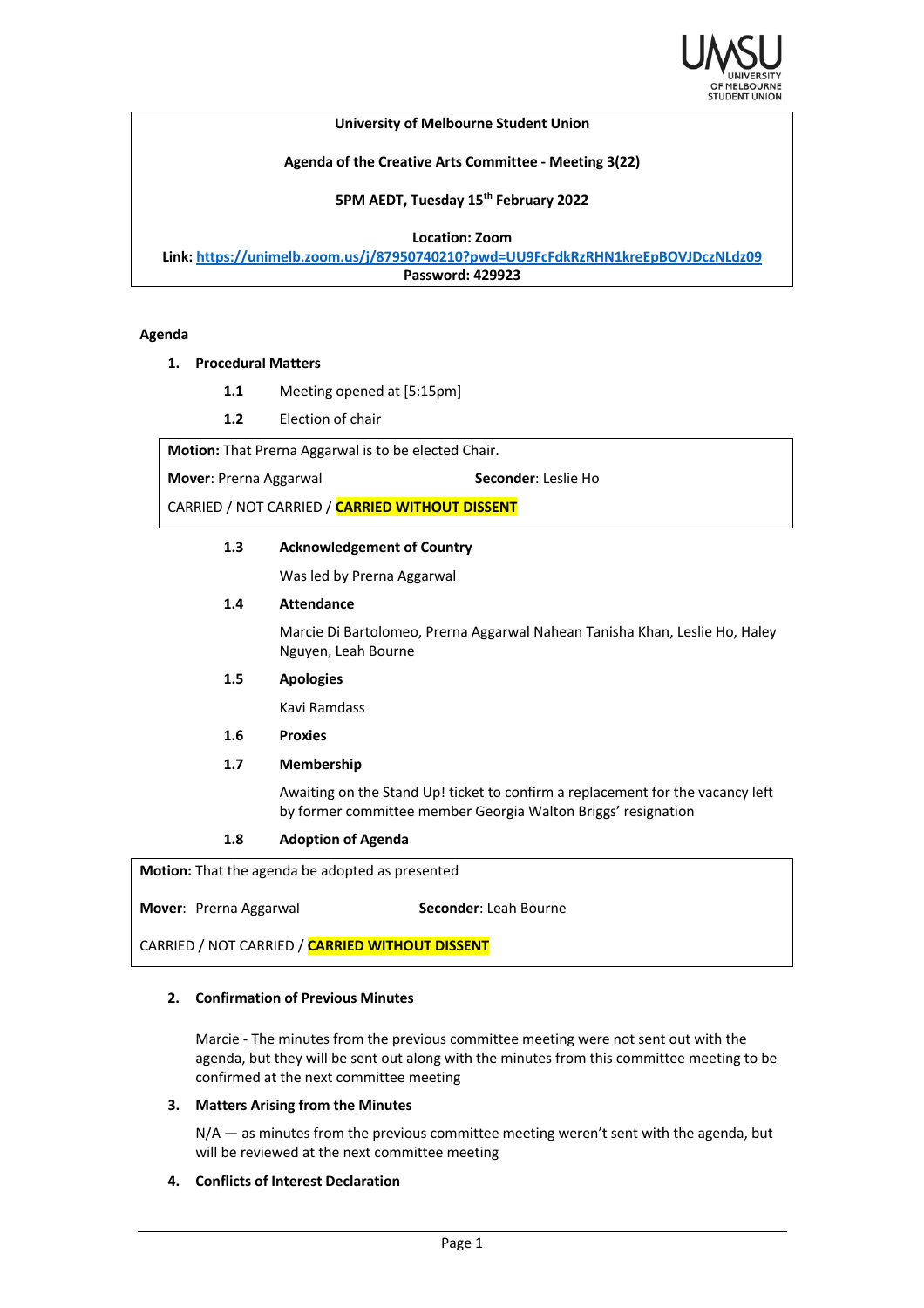

### **University of Melbourne Student Union**

### **Agenda of the Creative Arts Committee - Meeting 3(22)**

### **5PM AEDT, Tuesday 15th February 2022**

**Location: Zoom**

**Link: https://unimelb.zoom.us/j/87950740210?pwd=UU9FcFdkRzRHN1kreEpBOVJDczNLdz09 Password: 429923**

#### **Agenda**

### **1. Procedural Matters**

- **1.1** Meeting opened at [5:15pm]
- **1.2** Election of chair

**Motion:** That Prerna Aggarwal is to be elected Chair.

**Mover**: Prerna Aggarwal **Seconder**: Leslie Ho

CARRIED / NOT CARRIED / **CARRIED WITHOUT DISSENT**

### **1.3 Acknowledgement of Country**

Was led by Prerna Aggarwal

### **1.4 Attendance**

Marcie Di Bartolomeo, Prerna Aggarwal Nahean Tanisha Khan, Leslie Ho, Haley Nguyen, Leah Bourne

#### **1.5 Apologies**

Kavi Ramdass

### **1.6 Proxies**

### **1.7 Membership**

Awaiting on the Stand Up! ticket to confirm a replacement for the vacancy left by former committee member Georgia Walton Briggs' resignation

### **1.8 Adoption of Agenda**

**Motion:** That the agenda be adopted as presented

**Mover:** Prerna Aggarwal **Seconder:** Leah Bourne

CARRIED / NOT CARRIED / **CARRIED WITHOUT DISSENT**

### **2. Confirmation of Previous Minutes**

Marcie - The minutes from the previous committee meeting were not sent out with the agenda, but they will be sent out along with the minutes from this committee meeting to be confirmed at the next committee meeting

### **3. Matters Arising from the Minutes**

N/A - as minutes from the previous committee meeting weren't sent with the agenda, but will be reviewed at the next committee meeting

## **4. Conflicts of Interest Declaration**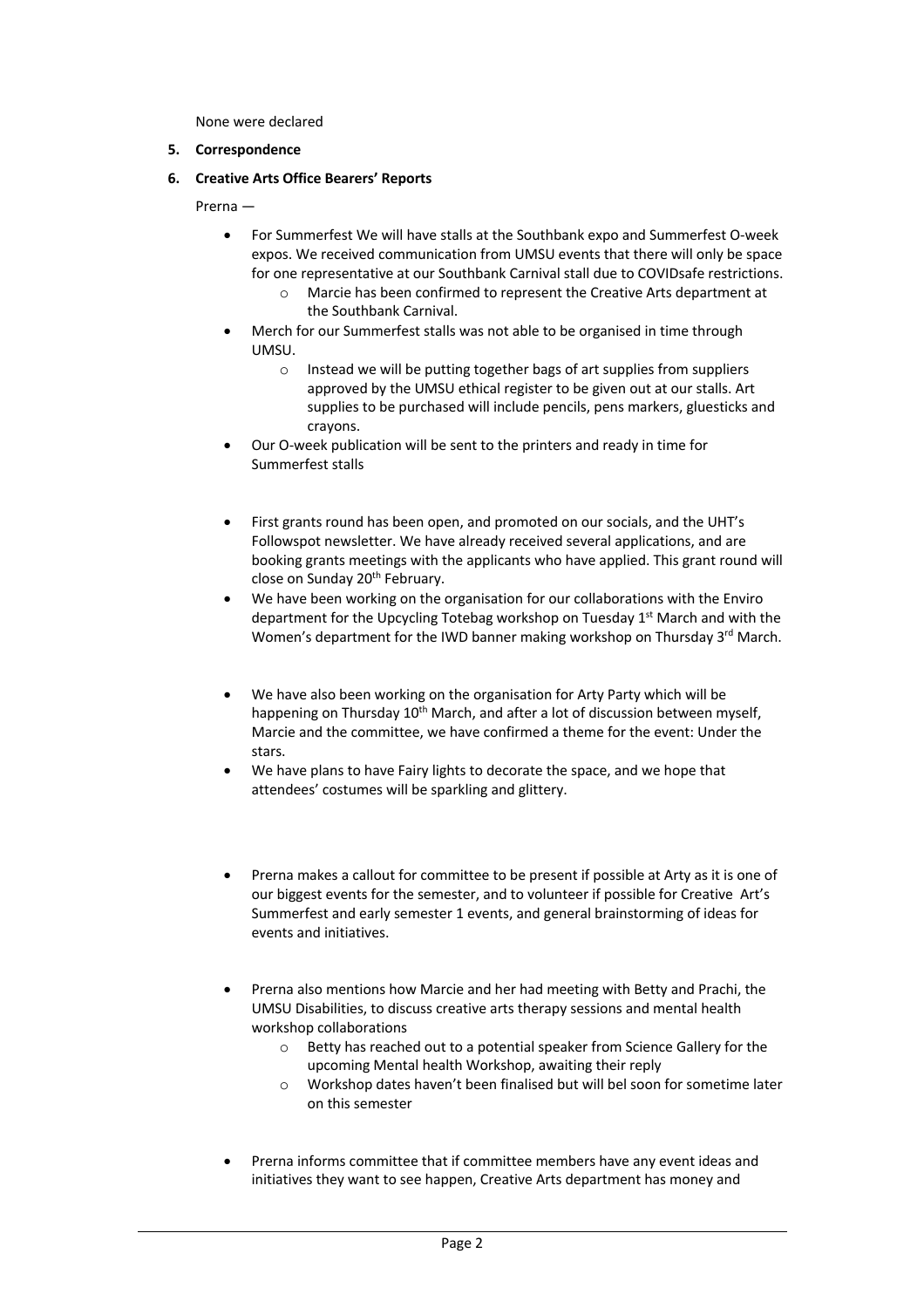None were declared

# **5. Correspondence**

**6. Creative Arts Office Bearers' Reports**

Prerna —

- For Summerfest We will have stalls at the Southbank expo and Summerfest O-week expos. We received communication from UMSU events that there will only be space for one representative at our Southbank Carnival stall due to COVIDsafe restrictions.
	- o Marcie has been confirmed to represent the Creative Arts department at the Southbank Carnival.
- Merch for our Summerfest stalls was not able to be organised in time through UMSU.
	- o Instead we will be putting together bags of art supplies from suppliers approved by the UMSU ethical register to be given out at our stalls. Art supplies to be purchased will include pencils, pens markers, gluesticks and crayons.
- Our O-week publication will be sent to the printers and ready in time for Summerfest stalls
- First grants round has been open, and promoted on our socials, and the UHT's Followspot newsletter. We have already received several applications, and are booking grants meetings with the applicants who have applied. This grant round will close on Sunday 20th February.
- We have been working on the organisation for our collaborations with the Enviro department for the Upcycling Totebag workshop on Tuesday 1<sup>st</sup> March and with the Women's department for the IWD banner making workshop on Thursday 3rd March.
- We have also been working on the organisation for Arty Party which will be happening on Thursday 10<sup>th</sup> March, and after a lot of discussion between myself, Marcie and the committee, we have confirmed a theme for the event: Under the stars.
- We have plans to have Fairy lights to decorate the space, and we hope that attendees' costumes will be sparkling and glittery.
- Prerna makes a callout for committee to be present if possible at Arty as it is one of our biggest events for the semester, and to volunteer if possible for Creative Art's Summerfest and early semester 1 events, and general brainstorming of ideas for events and initiatives.
- Prerna also mentions how Marcie and her had meeting with Betty and Prachi, the UMSU Disabilities, to discuss creative arts therapy sessions and mental health workshop collaborations
	- o Betty has reached out to a potential speaker from Science Gallery for the upcoming Mental health Workshop, awaiting their reply
	- o Workshop dates haven't been finalised but will bel soon for sometime later on this semester
- Prerna informs committee that if committee members have any event ideas and initiatives they want to see happen, Creative Arts department has money and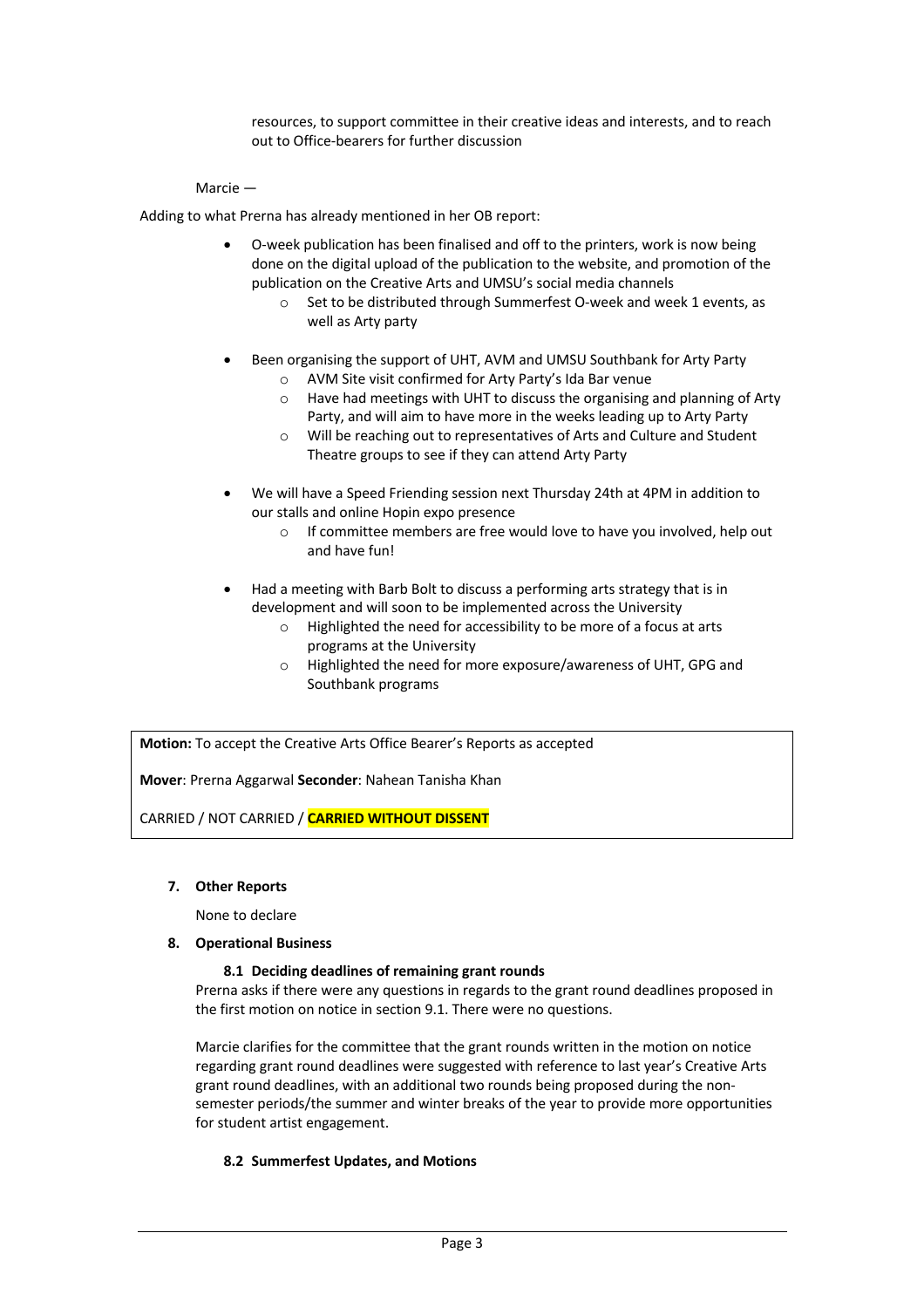resources, to support committee in their creative ideas and interests, and to reach out to Office-bearers for further discussion

## Marcie —

Adding to what Prerna has already mentioned in her OB report:

- O-week publication has been finalised and off to the printers, work is now being done on the digital upload of the publication to the website, and promotion of the publication on the Creative Arts and UMSU's social media channels
	- o Set to be distributed through Summerfest O-week and week 1 events, as well as Arty party
- Been organising the support of UHT, AVM and UMSU Southbank for Arty Party
	- o AVM Site visit confirmed for Arty Party's Ida Bar venue
	- o Have had meetings with UHT to discuss the organising and planning of Arty Party, and will aim to have more in the weeks leading up to Arty Party
	- o Will be reaching out to representatives of Arts and Culture and Student Theatre groups to see if they can attend Arty Party
- We will have a Speed Friending session next Thursday 24th at 4PM in addition to our stalls and online Hopin expo presence
	- o If committee members are free would love to have you involved, help out and have fun!
- Had a meeting with Barb Bolt to discuss a performing arts strategy that is in development and will soon to be implemented across the University
	- o Highlighted the need for accessibility to be more of a focus at arts programs at the University
	- o Highlighted the need for more exposure/awareness of UHT, GPG and Southbank programs

**Motion:** To accept the Creative Arts Office Bearer's Reports as accepted

**Mover**: Prerna Aggarwal **Seconder**: Nahean Tanisha Khan

CARRIED / NOT CARRIED / **CARRIED WITHOUT DISSENT**

**7. Other Reports**

None to declare

## **8. Operational Business**

### **8.1 Deciding deadlines of remaining grant rounds**

Prerna asks if there were any questions in regards to the grant round deadlines proposed in the first motion on notice in section 9.1. There were no questions.

Marcie clarifies for the committee that the grant rounds written in the motion on notice regarding grant round deadlines were suggested with reference to last year's Creative Arts grant round deadlines, with an additional two rounds being proposed during the nonsemester periods/the summer and winter breaks of the year to provide more opportunities for student artist engagement.

# **8.2 Summerfest Updates, and Motions**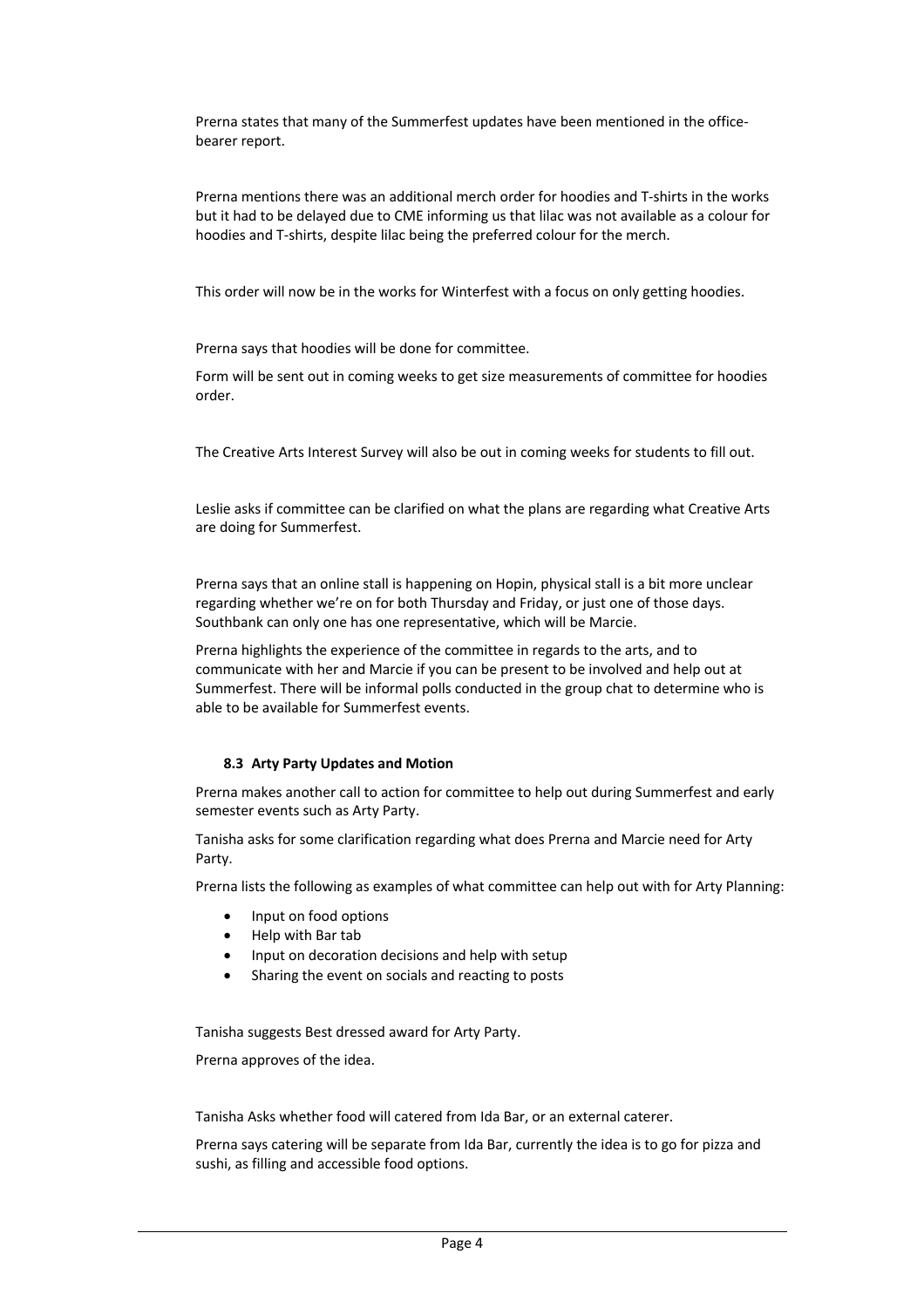Prerna states that many of the Summerfest updates have been mentioned in the officebearer report.

Prerna mentions there was an additional merch order for hoodies and T-shirts in the works but it had to be delayed due to CME informing us that lilac was not available as a colour for hoodies and T-shirts, despite lilac being the preferred colour for the merch.

This order will now be in the works for Winterfest with a focus on only getting hoodies.

Prerna says that hoodies will be done for committee.

Form will be sent out in coming weeks to get size measurements of committee for hoodies order.

The Creative Arts Interest Survey will also be out in coming weeks for students to fill out.

Leslie asks if committee can be clarified on what the plans are regarding what Creative Arts are doing for Summerfest.

Prerna says that an online stall is happening on Hopin, physical stall is a bit more unclear regarding whether we're on for both Thursday and Friday, or just one of those days. Southbank can only one has one representative, which will be Marcie.

Prerna highlights the experience of the committee in regards to the arts, and to communicate with her and Marcie if you can be present to be involved and help out at Summerfest. There will be informal polls conducted in the group chat to determine who is able to be available for Summerfest events.

#### **8.3 Arty Party Updates and Motion**

Prerna makes another call to action for committee to help out during Summerfest and early semester events such as Arty Party.

Tanisha asks for some clarification regarding what does Prerna and Marcie need for Arty Party.

Prerna lists the following as examples of what committee can help out with for Arty Planning:

- Input on food options
- Help with Bar tab
- Input on decoration decisions and help with setup
- Sharing the event on socials and reacting to posts

Tanisha suggests Best dressed award for Arty Party.

Prerna approves of the idea.

Tanisha Asks whether food will catered from Ida Bar, or an external caterer.

Prerna says catering will be separate from Ida Bar, currently the idea is to go for pizza and sushi, as filling and accessible food options.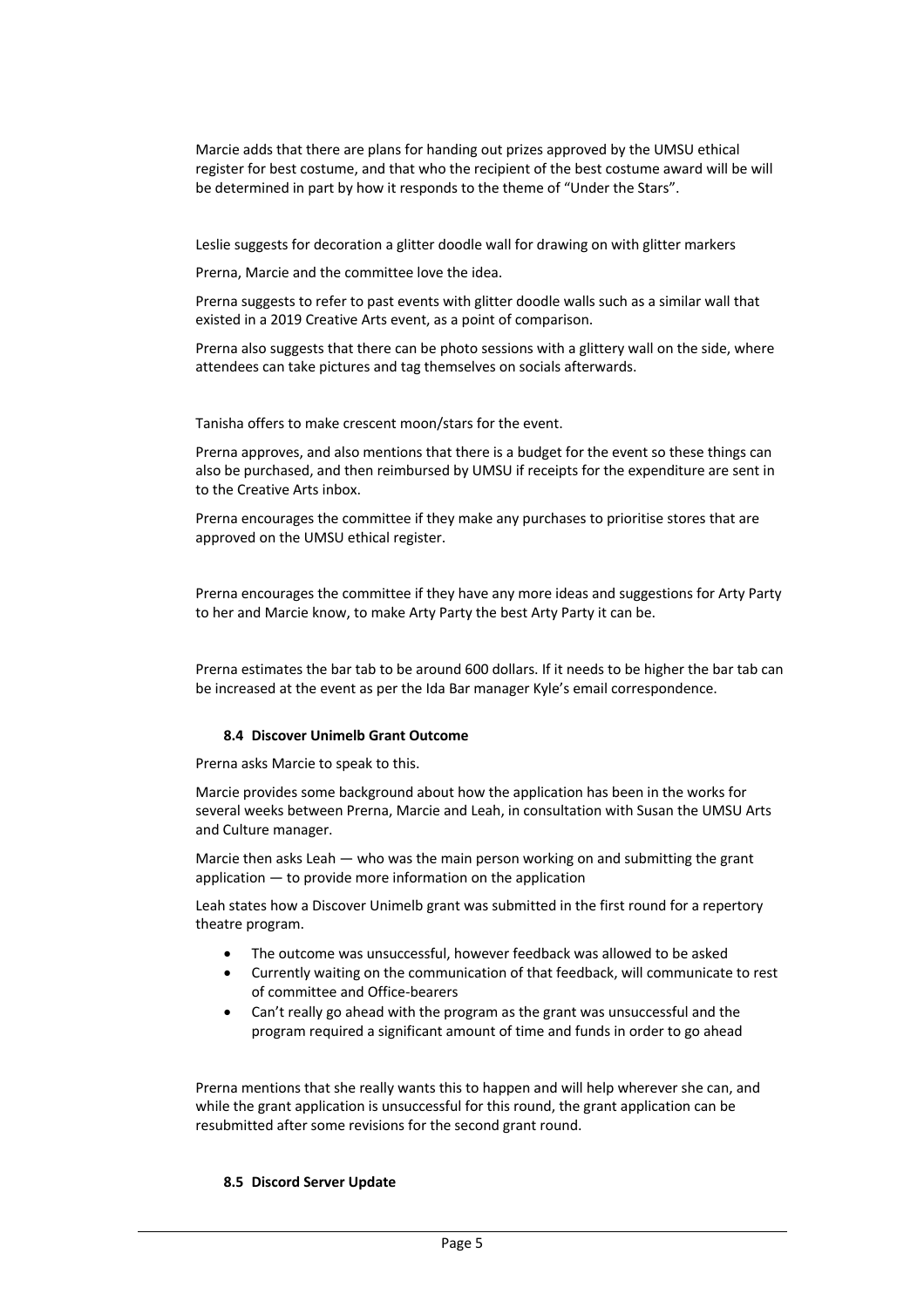Marcie adds that there are plans for handing out prizes approved by the UMSU ethical register for best costume, and that who the recipient of the best costume award will be will be determined in part by how it responds to the theme of "Under the Stars".

Leslie suggests for decoration a glitter doodle wall for drawing on with glitter markers

Prerna, Marcie and the committee love the idea.

Prerna suggests to refer to past events with glitter doodle walls such as a similar wall that existed in a 2019 Creative Arts event, as a point of comparison.

Prerna also suggests that there can be photo sessions with a glittery wall on the side, where attendees can take pictures and tag themselves on socials afterwards.

Tanisha offers to make crescent moon/stars for the event.

Prerna approves, and also mentions that there is a budget for the event so these things can also be purchased, and then reimbursed by UMSU if receipts for the expenditure are sent in to the Creative Arts inbox.

Prerna encourages the committee if they make any purchases to prioritise stores that are approved on the UMSU ethical register.

Prerna encourages the committee if they have any more ideas and suggestions for Arty Party to her and Marcie know, to make Arty Party the best Arty Party it can be.

Prerna estimates the bar tab to be around 600 dollars. If it needs to be higher the bar tab can be increased at the event as per the Ida Bar manager Kyle's email correspondence.

### **8.4 Discover Unimelb Grant Outcome**

Prerna asks Marcie to speak to this.

Marcie provides some background about how the application has been in the works for several weeks between Prerna, Marcie and Leah, in consultation with Susan the UMSU Arts and Culture manager.

Marcie then asks Leah — who was the main person working on and submitting the grant application — to provide more information on the application

Leah states how a Discover Unimelb grant was submitted in the first round for a repertory theatre program.

- The outcome was unsuccessful, however feedback was allowed to be asked
- Currently waiting on the communication of that feedback, will communicate to rest of committee and Office-bearers
- Can't really go ahead with the program as the grant was unsuccessful and the program required a significant amount of time and funds in order to go ahead

Prerna mentions that she really wants this to happen and will help wherever she can, and while the grant application is unsuccessful for this round, the grant application can be resubmitted after some revisions for the second grant round.

### **8.5 Discord Server Update**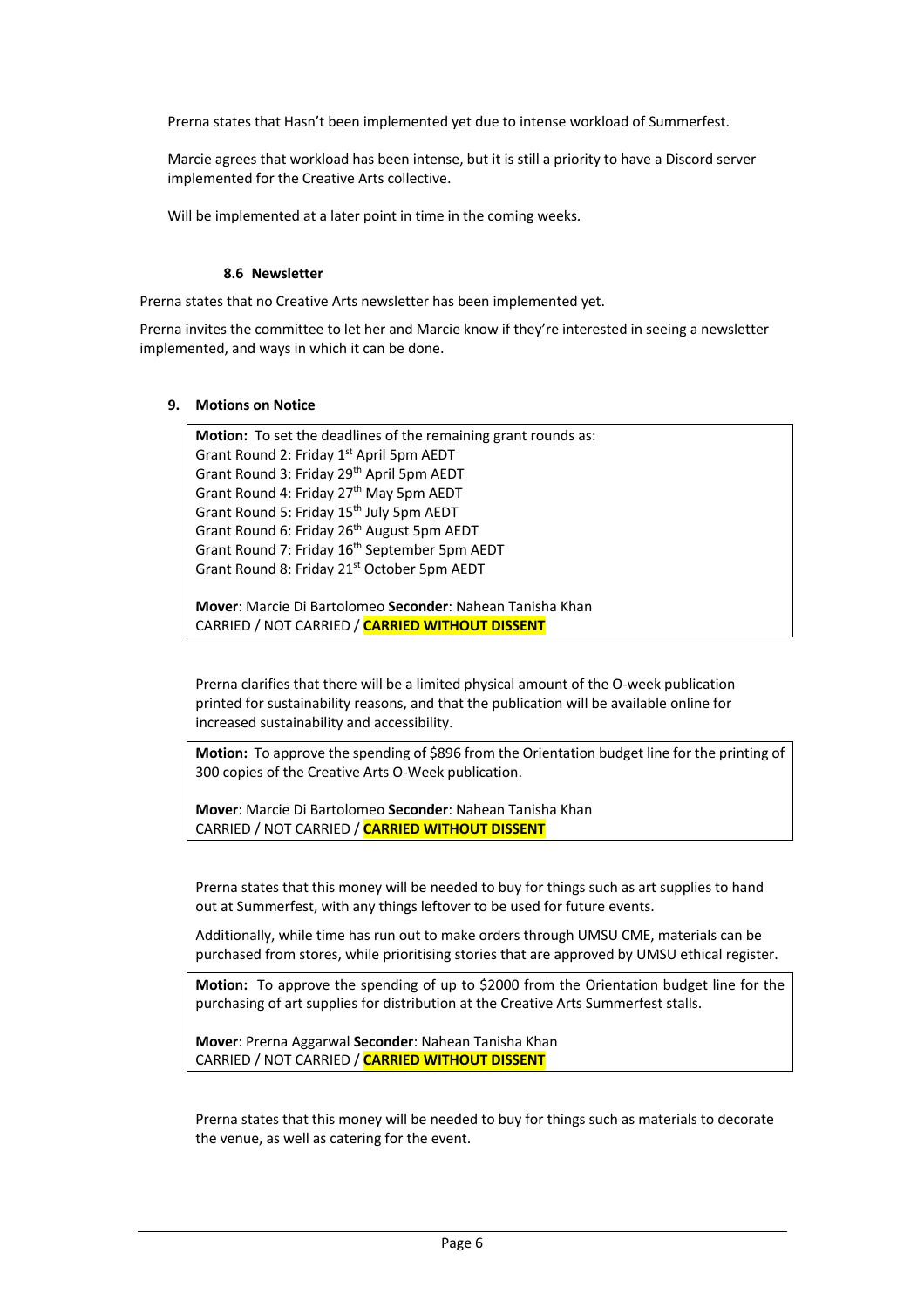Prerna states that Hasn't been implemented yet due to intense workload of Summerfest.

Marcie agrees that workload has been intense, but it is still a priority to have a Discord server implemented for the Creative Arts collective.

Will be implemented at a later point in time in the coming weeks.

## **8.6 Newsletter**

Prerna states that no Creative Arts newsletter has been implemented yet.

Prerna invites the committee to let her and Marcie know if they're interested in seeing a newsletter implemented, and ways in which it can be done.

### **9. Motions on Notice**

**Motion:** To set the deadlines of the remaining grant rounds as: Grant Round 2: Friday 1<sup>st</sup> April 5pm AEDT Grant Round 3: Friday 29th April 5pm AEDT Grant Round 4: Friday 27<sup>th</sup> May 5pm AEDT Grant Round 5: Friday 15<sup>th</sup> July 5pm AEDT Grant Round 6: Friday 26<sup>th</sup> August 5pm AEDT Grant Round 7: Friday 16<sup>th</sup> September 5pm AEDT Grant Round 8: Friday 21<sup>st</sup> October 5pm AEDT

**Mover**: Marcie Di Bartolomeo **Seconder**: Nahean Tanisha Khan CARRIED / NOT CARRIED / **CARRIED WITHOUT DISSENT**

Prerna clarifies that there will be a limited physical amount of the O-week publication printed for sustainability reasons, and that the publication will be available online for increased sustainability and accessibility.

**Motion:** To approve the spending of \$896 from the Orientation budget line for the printing of 300 copies of the Creative Arts O-Week publication.

**Mover**: Marcie Di Bartolomeo **Seconder**: Nahean Tanisha Khan CARRIED / NOT CARRIED / **CARRIED WITHOUT DISSENT**

Prerna states that this money will be needed to buy for things such as art supplies to hand out at Summerfest, with any things leftover to be used for future events.

Additionally, while time has run out to make orders through UMSU CME, materials can be purchased from stores, while prioritising stories that are approved by UMSU ethical register.

**Motion:** To approve the spending of up to \$2000 from the Orientation budget line for the purchasing of art supplies for distribution at the Creative Arts Summerfest stalls.

**Mover**: Prerna Aggarwal **Seconder**: Nahean Tanisha Khan CARRIED / NOT CARRIED / **CARRIED WITHOUT DISSENT**

Prerna states that this money will be needed to buy for things such as materials to decorate the venue, as well as catering for the event.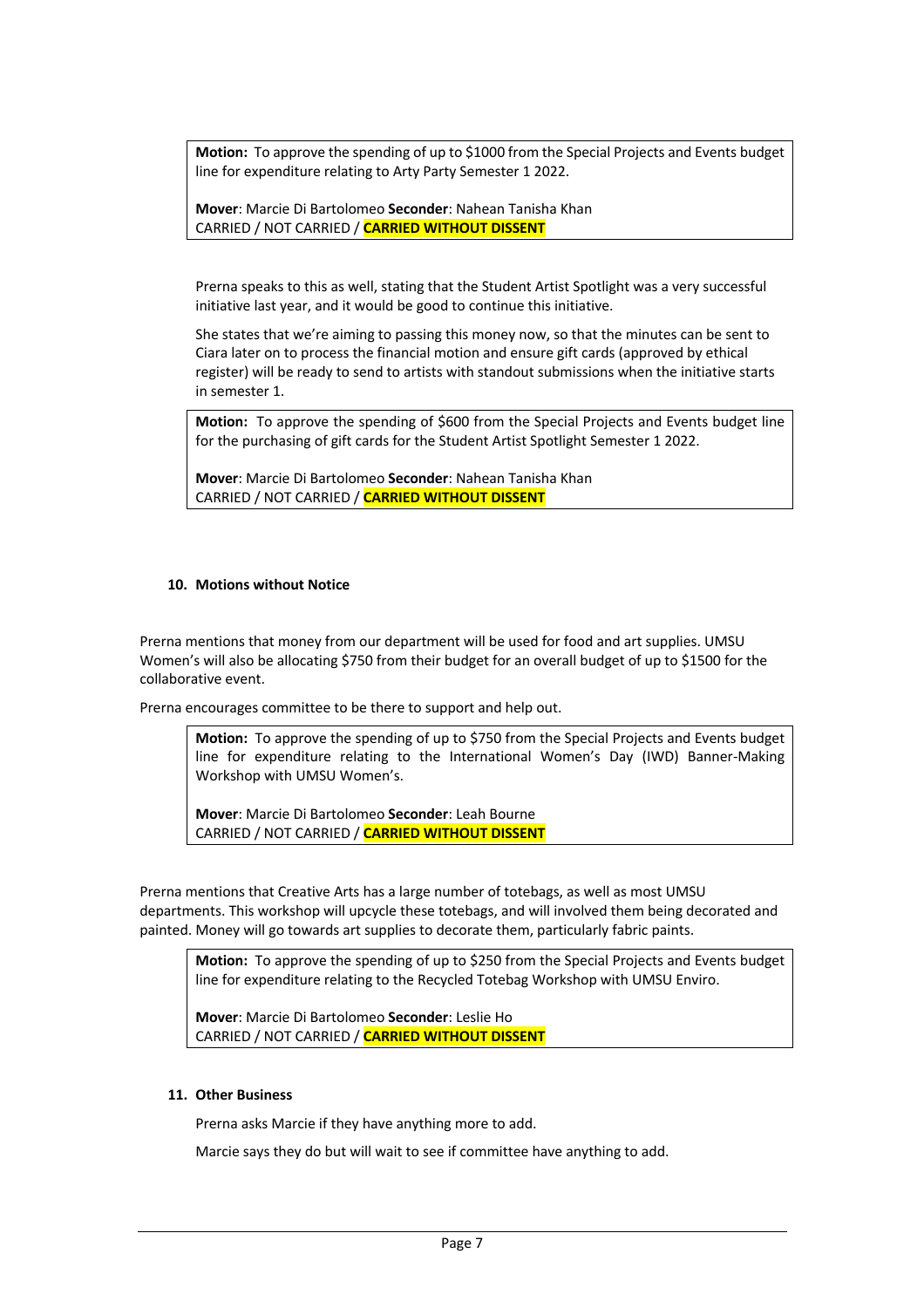**Motion:** To approve the spending of up to \$1000 from the Special Projects and Events budget line for expenditure relating to Arty Party Semester 1 2022.

**Mover**: Marcie Di Bartolomeo **Seconder**: Nahean Tanisha Khan CARRIED / NOT CARRIED / **CARRIED WITHOUT DISSENT**

Prerna speaks to this as well, stating that the Student Artist Spotlight was a very successful initiative last year, and it would be good to continue this initiative.

She states that we're aiming to passing this money now, so that the minutes can be sent to Ciara later on to process the financial motion and ensure gift cards (approved by ethical register) will be ready to send to artists with standout submissions when the initiative starts in semester 1.

**Motion:** To approve the spending of \$600 from the Special Projects and Events budget line for the purchasing of gift cards for the Student Artist Spotlight Semester 1 2022.

**Mover**: Marcie Di Bartolomeo **Seconder**: Nahean Tanisha Khan CARRIED / NOT CARRIED / **CARRIED WITHOUT DISSENT**

## **10. Motions without Notice**

Prerna mentions that money from our department will be used for food and art supplies. UMSU Women's will also be allocating \$750 from their budget for an overall budget of up to \$1500 for the collaborative event.

Prerna encourages committee to be there to support and help out.

**Motion:** To approve the spending of up to \$750 from the Special Projects and Events budget line for expenditure relating to the International Women's Day (IWD) Banner-Making Workshop with UMSU Women's.

**Mover**: Marcie Di Bartolomeo **Seconder**: Leah Bourne CARRIED / NOT CARRIED / **CARRIED WITHOUT DISSENT**

Prerna mentions that Creative Arts has a large number of totebags, as well as most UMSU departments. This workshop will upcycle these totebags, and will involved them being decorated and painted. Money will go towards art supplies to decorate them, particularly fabric paints.

**Motion:** To approve the spending of up to \$250 from the Special Projects and Events budget line for expenditure relating to the Recycled Totebag Workshop with UMSU Enviro.

**Mover**: Marcie Di Bartolomeo **Seconder**: Leslie Ho CARRIED / NOT CARRIED / **CARRIED WITHOUT DISSENT**

### **11. Other Business**

Prerna asks Marcie if they have anything more to add.

Marcie says they do but will wait to see if committee have anything to add.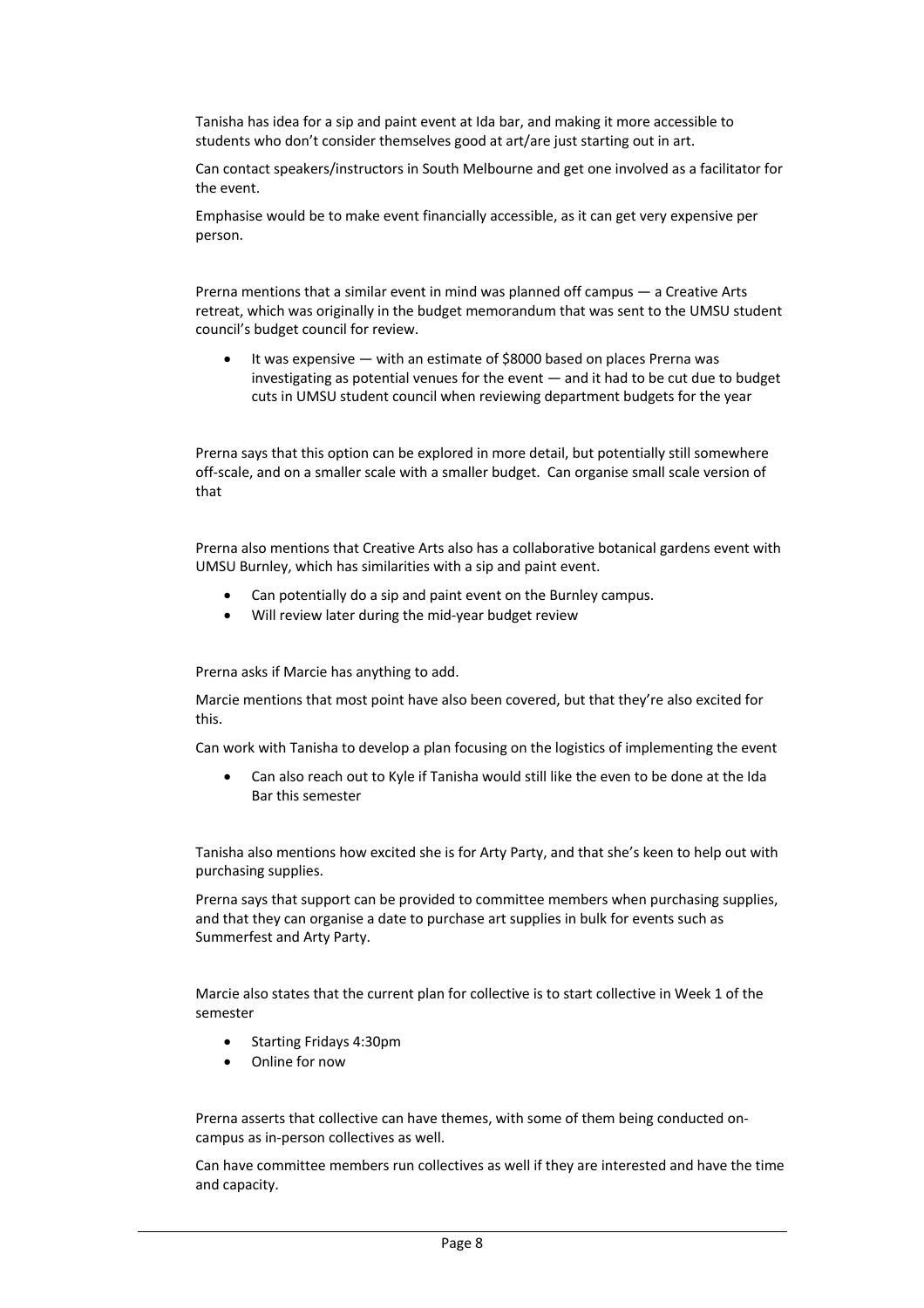Tanisha has idea for a sip and paint event at Ida bar, and making it more accessible to students who don't consider themselves good at art/are just starting out in art.

Can contact speakers/instructors in South Melbourne and get one involved as a facilitator for the event.

Emphasise would be to make event financially accessible, as it can get very expensive per person.

Prerna mentions that a similar event in mind was planned off campus — a Creative Arts retreat, which was originally in the budget memorandum that was sent to the UMSU student council's budget council for review.

It was expensive - with an estimate of \$8000 based on places Prerna was investigating as potential venues for the event — and it had to be cut due to budget cuts in UMSU student council when reviewing department budgets for the year

Prerna says that this option can be explored in more detail, but potentially still somewhere off-scale, and on a smaller scale with a smaller budget. Can organise small scale version of that

Prerna also mentions that Creative Arts also has a collaborative botanical gardens event with UMSU Burnley, which has similarities with a sip and paint event.

- Can potentially do a sip and paint event on the Burnley campus.
- Will review later during the mid-year budget review

Prerna asks if Marcie has anything to add.

Marcie mentions that most point have also been covered, but that they're also excited for this.

Can work with Tanisha to develop a plan focusing on the logistics of implementing the event

• Can also reach out to Kyle if Tanisha would still like the even to be done at the Ida Bar this semester

Tanisha also mentions how excited she is for Arty Party, and that she's keen to help out with purchasing supplies.

Prerna says that support can be provided to committee members when purchasing supplies, and that they can organise a date to purchase art supplies in bulk for events such as Summerfest and Arty Party.

Marcie also states that the current plan for collective is to start collective in Week 1 of the semester

- Starting Fridays 4:30pm
- Online for now

Prerna asserts that collective can have themes, with some of them being conducted oncampus as in-person collectives as well.

Can have committee members run collectives as well if they are interested and have the time and capacity.